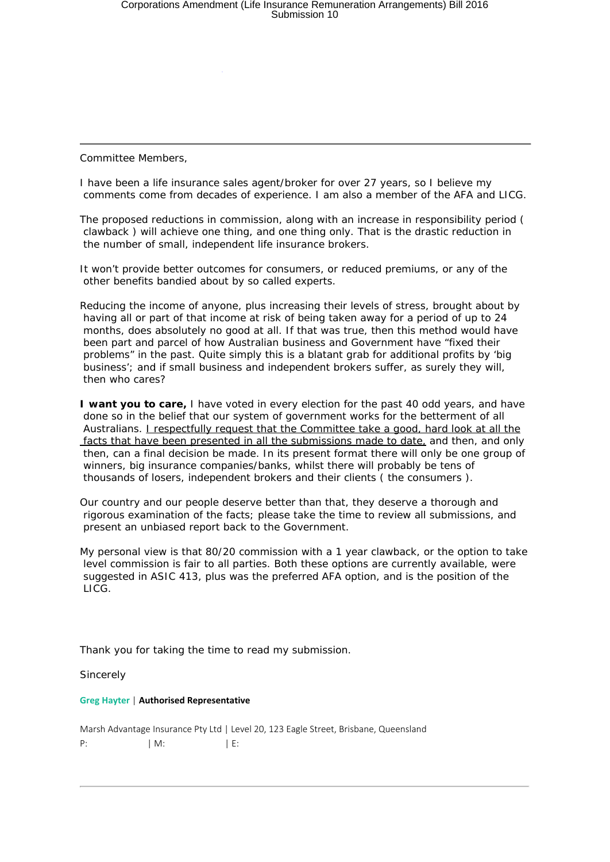Committee Members,

I have been a life insurance sales agent/broker for over 27 years, so I believe my comments come from decades of experience. I am also a member of the AFA and LICG.

The proposed reductions in commission, along with an increase in responsibility period ( clawback ) will achieve one thing, and one thing only. That is the drastic reduction in the number of small, independent life insurance brokers.

It won't provide better outcomes for consumers, or reduced premiums, or any of the other benefits bandied about by so called experts.

Reducing the income of anyone, plus increasing their levels of stress, brought about by having all or part of that income at risk of being taken away for a period of up to 24 months, does absolutely no good at all. If that was true, then this method would have been part and parcel of how Australian business and Government have "fixed their problems" in the past. Quite simply this is a blatant grab for additional profits by 'big business'; and if small business and independent brokers suffer, as surely they will, then who cares?

**I want you to care,** I have voted in every election for the past 40 odd years, and have done so in the belief that our system of government works for the betterment of all Australians. *I respectfully request that the Committee take a good, hard look at all the facts that have been presented in all the submissions made to date,* and then, and only then, can a final decision be made. In its present format there will only be one group of winners, big insurance companies/banks, whilst there will probably be tens of thousands of losers, independent brokers and their clients ( the consumers ).

Our country and our people deserve better than that, they deserve a thorough and rigorous examination of the facts; please take the time to review all submissions, and present an unbiased report back to the Government.

My personal view is that 80/20 commission with a 1 year clawback, or the option to take level commission is fair to all parties. Both these options are currently available, were suggested in ASIC 413, plus was the preferred AFA option, and is the position of the LICG.

Thank you for taking the time to read my submission.

**Sincerely** 

## **Greg Hayter** | **Authorised Representative**

Marsh Advantage Insurance Pty Ltd | Level 20, 123 Eagle Street, Brisbane, Queensland P:  $|M:$  | E: